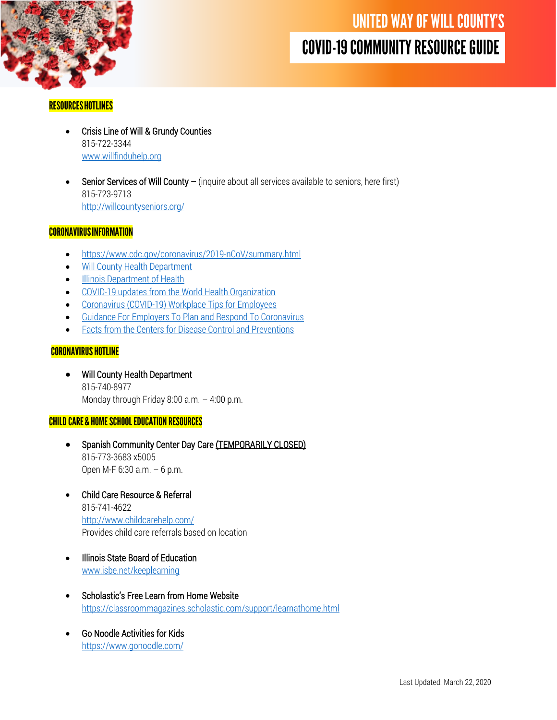

### **RESOURCES HOTLINES**

- Crisis Line of Will & Grundy Counties 815-722-3344 [www.willfinduhelp.org](http://www.willfinduhelp.org/)
- Senior Services of Will County (inquire about all services available to seniors, here first) 815-723-9713 <http://willcountyseniors.org/>

#### **CORONAVIRUS INFORMATION**

- <https://www.cdc.gov/coronavirus/2019-nCoV/summary.html>
- [Will County Health Department](https://willcountyhealth.org/coronavirus-information/)
- **[Illinois Department of Health](http://www.dph.illinois.gov/topics-services/diseases-and-conditions/diseases-a-z-list/coronavirus)**
- [COVID-19 updates from the](https://www.who.int/health-topics/coronavirus) World Health Organization
- [Coronavirus \(COVID-19\) Workplace Tips for Employees](https://www.uschamber.com/sites/default/files/coronavirus_workplace_tips_for_employees.pdf)
- [Guidance For Employers To Plan and Respond To Coronavirus](https://www.uschamber.com/sites/default/files/guidance_for_employers_to_plan_and_respond_to_coronavirus.pdf)
- [Facts from the Centers for Disease Control and Preventions](https://www.cdc.gov/coronavirus/2019-ncov/about/share-facts.html)

### **CORONAVIRUS HOTLINE**

• Will County Health Department 815-740-8977 Monday through Friday 8:00 a.m. – 4:00 p.m.

#### **CHILD CARE & HOME SCHOOL EDUCATION RESOURCES**

- Spanish Community Center Day Care (TEMPORARILY CLOSED) 815-773-3683 x5005 Open M-F 6:30 a.m. – 6 p.m.
- Child Care Resource & Referral 815-741-4622 <http://www.childcarehelp.com/> Provides child care referrals based on location
- Illinois State Board of Education www.isbe.net/keeplearning
- Scholastic's Free Learn from Home Website <https://classroommagazines.scholastic.com/support/learnathome.html>
- Go Noodle Activities for Kids <https://www.gonoodle.com/>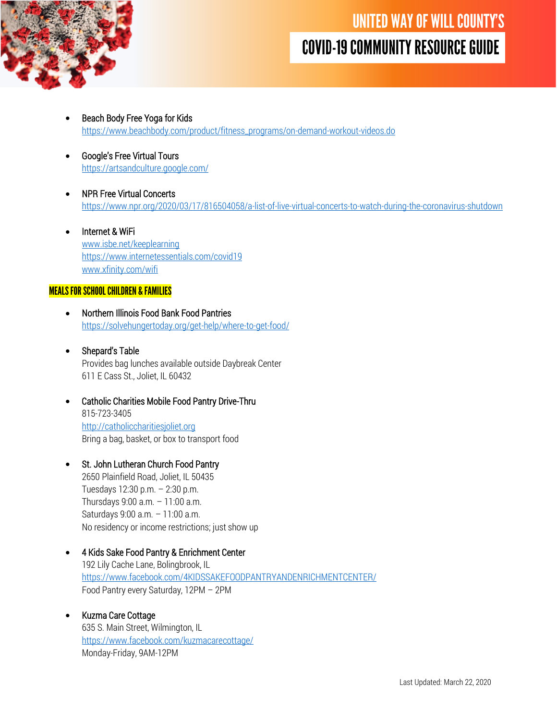

- Beach Body Free Yoga for Kids [https://www.beachbody.com/product/fitness\\_programs/on-demand-workout-videos.do](https://www.beachbody.com/product/fitness_programs/on-demand-workout-videos.do)
- Google's Free Virtual Tours <https://artsandculture.google.com/>
- NPR Free Virtual Concerts <https://www.npr.org/2020/03/17/816504058/a-list-of-live-virtual-concerts-to-watch-during-the-coronavirus-shutdown>
- Internet & WiFi [www.isbe.net/keeplearning](http://www.isbe.net/keeplearning) <https://www.internetessentials.com/covid19> [www.xfinity.com/wifi](http://www.xfinity.com/wifi)

#### **MEALS FOR SCHOOL CHILDREN & FAMILIES**

- Northern Illinois Food Bank Food Pantries <https://solvehungertoday.org/get-help/where-to-get-food/>
- Shepard's Table Provides bag lunches available outside Daybreak Center 611 E Cass St., Joliet, IL 60432
- Catholic Charities Mobile Food Pantry Drive-Thru 815-723-3405 [http://catholiccharitiesjoliet.org](http://catholiccharitiesjoliet.org/) Bring a bag, basket, or box to transport food
- St. John Lutheran Church Food Pantry 2650 Plainfield Road, Joliet, IL 50435 Tuesdays 12:30 p.m. – 2:30 p.m. Thursdays 9:00 a.m. – 11:00 a.m. Saturdays 9:00 a.m. – 11:00 a.m. No residency or income restrictions; just show up
- 4 Kids Sake Food Pantry & Enrichment Center 192 Lily Cache Lane, Bolingbrook, IL <https://www.facebook.com/4KIDSSAKEFOODPANTRYANDENRICHMENTCENTER/> Food Pantry every Saturday, 12PM – 2PM
	- Kuzma Care Cottage 635 S. Main Street, Wilmington, IL <https://www.facebook.com/kuzmacarecottage/> Monday-Friday, 9AM-12PM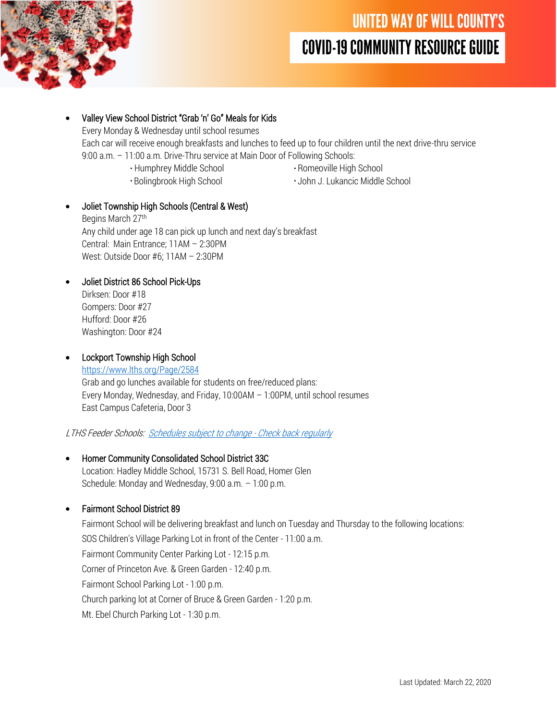

- Valley View School District "Grab 'n' Go" Meals for Kids Every Monday & Wednesday until school resumes Each car will receive enough breakfasts and lunches to feed up to four children until the next drive-thru service 9:00 a.m. – 11:00 a.m. Drive-Thru service at Main Door of Following Schools: Humphrey Middle School **Romeoville High School** 
	-
- 

Bolingbrook High School **Bolingbrook High School** John J. Lukancic Middle School

• Joliet Township High Schools (Central & West)

Begins March 27th Any child under age 18 can pick up lunch and next day's breakfast Central: Main Entrance; 11AM – 2:30PM West: Outside Door #6; 11AM – 2:30PM

• Joliet District 86 School Pick-Ups Dirksen: Door #18

Gompers: Door #27 Hufford: Door #26 Washington: Door #24

# • Lockport Township High School

<https://www.lths.org/Page/2584> Grab and go lunches available for students on free/reduced plans: Every Monday, Wednesday, and Friday, 10:00AM – 1:00PM, until school resumes East Campus Cafeteria, Door 3

LTHS Feeder Schools: [Schedules subject to change -](https://www.lths.org/Page/2584) Check back regularly

• Homer Community Consolidated School District 33C Location: Hadley Middle School, 15731 S. Bell Road, Homer Glen Schedule: Monday and Wednesday, 9:00 a.m. – 1:00 p.m.

# • Fairmont School District 89

Fairmont School will be delivering breakfast and lunch on Tuesday and Thursday to the following locations: SOS Children's Village Parking Lot in front of the Center - 11:00 a.m. Fairmont Community Center Parking Lot - 12:15 p.m. Corner of Princeton Ave. & Green Garden - 12:40 p.m. Fairmont School Parking Lot - 1:00 p.m. Church parking lot at Corner of Bruce & Green Garden - 1:20 p.m. Mt. Ebel Church Parking Lot - 1:30 p.m.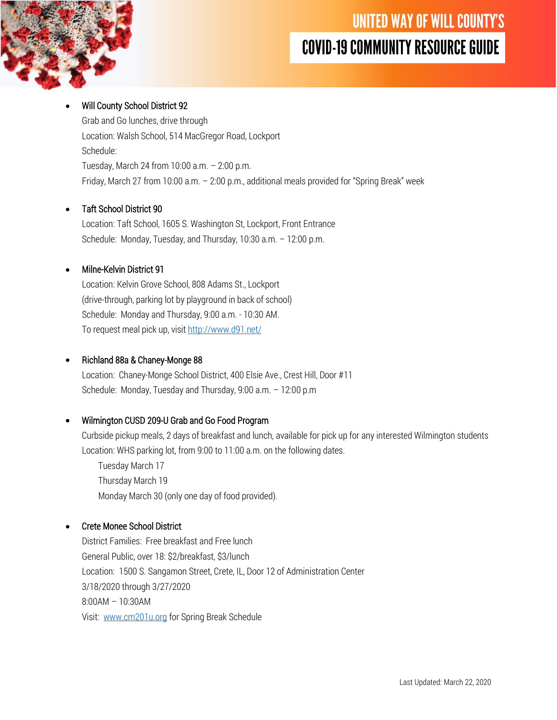

### • Will County School District 92

Grab and Go lunches, drive through Location: Walsh School, 514 MacGregor Road, Lockport Schedule: Tuesday, March 24 from 10:00 a.m. – 2:00 p.m. Friday, March 27 from 10:00 a.m. – 2:00 p.m., additional meals provided for "Spring Break" week

### • Taft School District 90

Location: Taft School, 1605 S. Washington St, Lockport, Front Entrance Schedule: Monday, Tuesday, and Thursday, 10:30 a.m. – 12:00 p.m.

### • Milne-Kelvin District 91

Location: Kelvin Grove School, 808 Adams St., Lockport (drive-through, parking lot by playground in back of school) Schedule: Monday and Thursday, 9:00 a.m. - 10:30 AM. To request meal pick up, visi[t http://www.d91.net/](http://www.d91.net/)

### • Richland 88a & Chaney-Monge 88

Location: Chaney-Monge School District, 400 Elsie Ave., Crest Hill, Door #11 Schedule: Monday, Tuesday and Thursday, 9:00 a.m. – 12:00 p.m

## • Wilmington CUSD 209-U Grab and Go Food Program

Curbside pickup meals, 2 days of breakfast and lunch, available for pick up for any interested Wilmington students Location: WHS parking lot, from 9:00 to 11:00 a.m. on the following dates.

Tuesday March 17 Thursday March 19 Monday March 30 (only one day of food provided).

### • Crete Monee School District

District Families: Free breakfast and Free lunch General Public, over 18: \$2/breakfast, \$3/lunch Location: 1500 S. Sangamon Street, Crete, IL, Door 12 of Administration Center 3/18/2020 through 3/27/2020 8:00AM – 10:30AM Visit: [www.cm201u.org](http://www.cm201u.org/) for Spring Break Schedule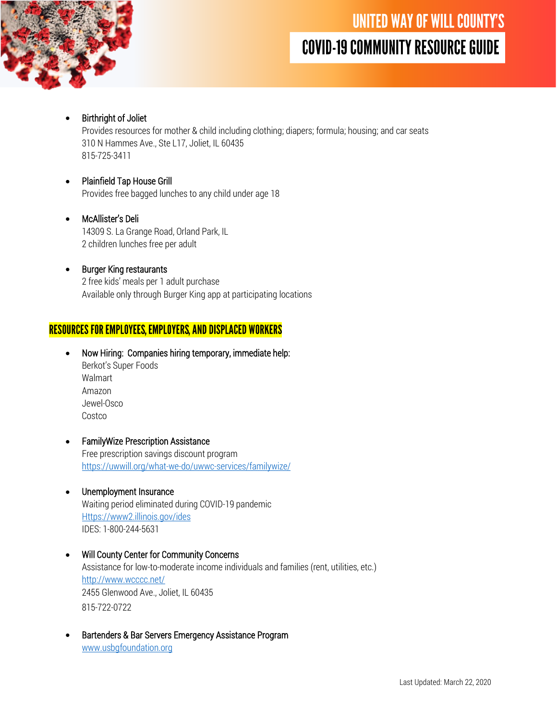

# • Birthright of Joliet

Provides resources for mother & child including clothing; diapers; formula; housing; and car seats 310 N Hammes Ave., Ste L17, Joliet, IL 60435 815-725-3411

#### • Plainfield Tap House Grill Provides free bagged lunches to any child under age 18

#### • McAllister's Deli 14309 S. La Grange Road, Orland Park, IL 2 children lunches free per adult

**Burger King restaurants** 2 free kids' meals per 1 adult purchase Available only through Burger King app at participating locations

# **RESOURCES FOR EMPLOYEES, EMPLOYERS, AND DISPLACED WORKERS**

- Now Hiring: Companies hiring temporary, immediate help: Berkot's Super Foods Walmart Amazon Jewel-Osco Costco
- FamilyWize Prescription Assistance Free prescription savings discount program <https://uwwill.org/what-we-do/uwwc-services/familywize/>
- Unemployment Insurance Waiting period eliminated during COVID-19 pandemic [Https://www2.illinois.gov/ides](https://www2.illinois.gov/ides) IDES: 1-800-244-5631
- Will County Center for Community Concerns Assistance for low-to-moderate income individuals and families (rent, utilities, etc.) <http://www.wcccc.net/> 2455 Glenwood Ave., Joliet, IL 60435 815-722-0722
- Bartenders & Bar Servers Emergency Assistance Program [www.usbgfoundation.org](http://www.usbgfoundation.org/)